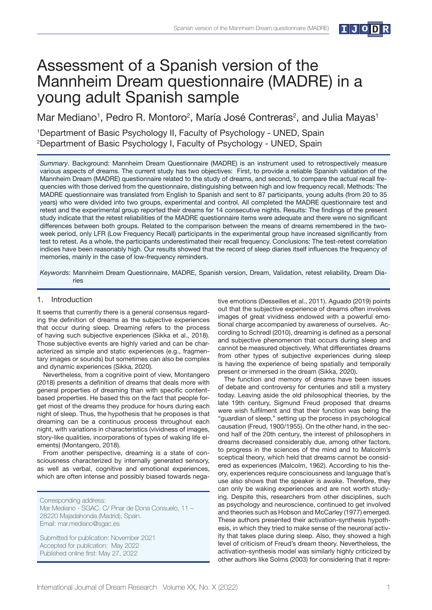

# Assessment of a Spanish version of the Mannheim Dream questionnaire (MADRE) in a young adult Spanish sample

Mar Mediano<sup>1</sup>, Pedro R. Montoro<sup>2</sup>, María José Contreras<sup>2</sup>, and Julia Mayas<sup>1</sup>

1 Department of Basic Psychology II, Faculty of Psychology - UNED, Spain 2 Department of Basic Psychology I, Faculty of Psychology - UNED, Spain

*Summary*. Background: Mannheim Dream Questionnaire (MADRE) is an instrument used to retrospectively measure various aspects of dreams. The current study has two objectives: First, to provide a reliable Spanish validation of the Mannheim Dream (MADRE) questionnaire related to the study of dreams, and second, to compare the actual recall frequencies with those derived from the questionnaire, distinguishing between high and low frequency recall. Methods: The MADRE questionnaire was translated from English to Spanish and sent to 87 participants, young adults (from 20 to 35 years) who were divided into two groups, experimental and control. All completed the MADRE questionnaire test and retest and the experimental group reported their dreams for 14 consecutive nights. Results: The findings of the present study indicate that the retest reliabilities of the MADRE questionnaire items were adequate and there were no significant differences between both groups. Related to the comparison between the means of dreams remembered in the twoweek period, only LFR (Low Frequency Recall) participants in the experimental group have increased significantly from test to retest. As a whole, the participants underestimated their recall frequency. Conclusions: The test-retest correlation indices have been reasonably high. Our results showed that the record of sleep diaries itself influences the frequency of memories, mainly in the case of low-frequency reminders.

*Keywords:* Mannheim Dream Questionnaire, MADRE, Spanish version, Dream, Validation, retest reliability, Dream Diaries

# 1. Introduction

It seems that currently there is a general consensus regarding the definition of dreams as the subjective experiences that occur during sleep. Dreaming refers to the process of having such subjective experiences (Sikka et al., 2018). Those subjective events are highly varied and can be characterized as simple and static experiences (e.g., fragmentary images or sounds) but sometimes can also be complex and dynamic experiences (Sikka, 2020).

Nevertheless, from a cognitive point of view, Montangero (2018) presents a definition of dreams that deals more with general properties of dreaming than with specific contentbased properties. He based this on the fact that people forget most of the dreams they produce for hours during each night of sleep. Thus, the hypothesis that he proposes is that dreaming can be a continuous process throughout each night, with variations in characteristics (vividness of images, story-like qualities, incorporations of types of waking life elements) (Montangero, 2018).

From another perspective, dreaming is a state of consciousness characterized by internally generated sensory, as well as verbal, cognitive and emotional experiences, which are often intense and possibly biased towards nega-

Corresponding address:

Mar Mediano - SGAC. C/ Pinar de Dona Consuelo, 11 – 28220 Majadahonda (Madrid), Spain. Email: mar.mediano@sgac.es

Submitted for publication: November 2021 Accepted for publication: May 2022 Published online first: May 27, 2022

tive emotions (Desseilles et al., 2011). Aguado (2019) points out that the subjective experience of dreams often involves images of great vividness endowed with a powerful emotional charge accompanied by awareness of ourselves. According to Schredl (2010), dreaming is defined as a personal and subjective phenomenon that occurs during sleep and cannot be measured objectively. What differentiates dreams from other types of subjective experiences during sleep is having the experience of being spatially and temporally present or immersed in the dream (Sikka, 2020).

The function and memory of dreams have been issues of debate and controversy for centuries and still a mystery today. Leaving aside the old philosophical theories, by the late 19th century, Sigmund Freud proposed that dreams were wish fulfilment and that their function was being the "guardian of sleep," setting up the process in psychological causation (Freud, 1900/1955). On the other hand, in the second half of the 20th century, the interest of philosophers in dreams decreased considerably due, among other factors, to progress in the sciences of the mind and to Malcolm's sceptical theory, which held that dreams cannot be considered as experiences (Malcolm, 1962). According to his theory, experiences require consciousness and language that's use also shows that the speaker is awake. Therefore, they can only be waking experiences and are not worth studying. Despite this, researchers from other disciplines, such as psychology and neuroscience, continued to get involved and theories such as Hobson and McCarley (1977) emerged. These authors presented their activation-synthesis hypothesis, in which they tried to make sense of the neuronal activity that takes place during sleep. Also, they showed a high level of criticism of Freud's dream theory. Nevertheless, the activation-synthesis model was similarly highly criticized by other authors like Solms (2003) for considering that it repre-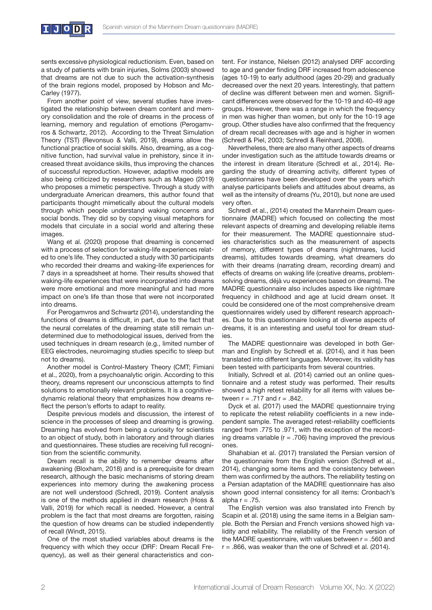

sents excessive physiological reductionism. Even, based on a study of patients with brain injuries, Solms (2003) showed that dreams are not due to such the activation-synthesis of the brain regions model, proposed by Hobson and Mc-Carley (1977).

From another point of view, several studies have investigated the relationship between dream content and memory consolidation and the role of dreams in the process of learning, memory and regulation of emotions (Perogamvros & Schwartz, 2012). According to the Threat Simulation Theory (TST) (Revonsuo & Valli, 2019), dreams allow the functional practice of social skills. Also, dreaming, as a cognitive function, had survival value in prehistory, since it increased threat avoidance skills, thus improving the chances of successful reproduction. However, adaptive models are also being criticized by researchers such as Mageo (2019) who proposes a mimetic perspective. Through a study with undergraduate American dreamers, this author found that participants thought mimetically about the cultural models through which people understand waking concerns and social bonds. They did so by copying visual metaphors for models that circulate in a social world and altering these images.

Wang et al. (2020) propose that dreaming is concerned with a process of selection for waking-life experiences related to one's life. They conducted a study with 30 participants who recorded their dreams and waking-life experiences for 7 days in a spreadsheet at home. Their results showed that waking-life experiences that were incorporated into dreams were more emotional and more meaningful and had more impact on one's life than those that were not incorporated into dreams.

For Perogamvros and Schwartz (2014), understanding the functions of dreams is difficult, in part, due to the fact that the neural correlates of the dreaming state still remain undetermined due to methodological issues, derived from the used techniques in dream research (e.g., limited number of EEG electrodes, neuroimaging studies specific to sleep but not to dreams).

Another model is Control-Mastery Theory (CMT; Fimiani et al., 2020), from a psychoanalytic origin. According to this theory, dreams represent our unconscious attempts to find solutions to emotionally relevant problems. It is a cognitivedynamic relational theory that emphasizes how dreams reflect the person's efforts to adapt to reality.

Despite previous models and discussion, the interest of science in the processes of sleep and dreaming is growing. Dreaming has evolved from being a curiosity for scientists to an object of study, both in laboratory and through diaries and questionnaires. These studies are receiving full recognition from the scientific community.

Dream recall is the ability to remember dreams after awakening (Bloxham, 2018) and is a prerequisite for dream research, although the basic mechanisms of storing dream experiences into memory during the awakening process are not well understood (Schredl, 2019). Content analysis is one of the methods applied in dream research (Hoss & Valli, 2019) for which recall is needed. However, a central problem is the fact that most dreams are forgotten, raising the question of how dreams can be studied independently of recall (Windt, 2015).

One of the most studied variables about dreams is the frequency with which they occur (DRF: Dream Recall Frequency), as well as their general characteristics and content. For instance, Nielsen (2012) analysed DRF according to age and gender finding DRF increased from adolescence (ages 10-19) to early adulthood (ages 20-29) and gradually decreased over the next 20 years. Interestingly, that pattern of decline was different between men and women. Significant differences were observed for the 10-19 and 40-49 age groups. However, there was a range in which the frequency in men was higher than women, but only for the 10-19 age group. Other studies have also confirmed that the frequency of dream recall decreases with age and is higher in women (Schredl & Piel, 2003; Schredl & Reinhard, 2008).

Nevertheless, there are also many other aspects of dreams under investigation such as the attitude towards dreams or the interest in dream literature (Schredl et al., 2014). Regarding the study of dreaming activity, different types of questionnaires have been developed over the years which analyse participants beliefs and attitudes about dreams, as well as the intensity of dreams (Yu, 2010), but none are used very often.

Schredl et al., (2014) created the Mannheim Dream questionnaire (MADRE) which focused on collecting the most relevant aspects of dreaming and developing reliable items for their measurement. The MADRE questionnaire studies characteristics such as the measurement of aspects of memory, different types of dreams (nightmares, lucid dreams), attitudes towards dreaming, what dreamers do with their dreams (narrating dream, recording dream) and effects of dreams on waking life (creative dreams, problemsolving dreams, déjà vu experiences based on dreams). The MADRE questionnaire also includes aspects like nightmare frequency in childhood and age at lucid dream onset. It could be considered one of the most comprehensive dream questionnaires widely used by different research approaches. Due to this questionnaire looking at diverse aspects of dreams, it is an interesting and useful tool for dream studies.

The MADRE questionnaire was developed in both German and English by Schredl et al. (2014), and it has been translated into different languages. Moreover, its validity has been tested with participants from several countries.

Initially, Schredl et al. (2014) carried out an online questionnaire and a retest study was performed. Their results showed a high retest reliability for all items with values between  $r = .717$  and  $r = .842$ .

Dyck et al. (2017) used the MADRE questionnaire trying to replicate the retest reliability coefficients in a new independent sample. The averaged retest-reliability coefficients ranged from .775 to .971, with the exception of the recording dreams variable ( $r = .706$ ) having improved the previous ones.

Shahabian et al. (2017) translated the Persian version of the questionnaire from the English version (Schredl et al., 2014), changing some items and the consistency between them was confirmed by the authors. The reliability testing on a Persian adaptation of the MADRE questionnaire has also shown good internal consistency for all items: Cronbach's alpha  $r = .75$ .

The English version was also translated into French by Scapin et al. (2018) using the same items in a Belgian sample. Both the Persian and French versions showed high validity and reliability. The reliability of the French version of the MADRE questionnaire, with values between  $r = .560$  and  $r = .866$ , was weaker than the one of Schredl et al. (2014).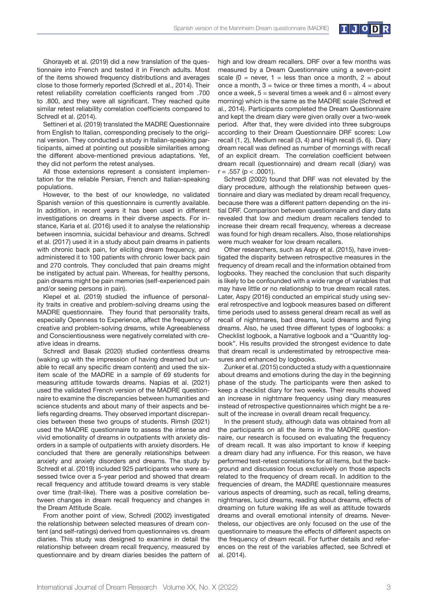

Ghorayeb et al. (2019) did a new translation of the questionnaire into French and tested it in French adults. Most of the items showed frequency distributions and averages close to those formerly reported (Schredl et al., 2014). Their retest reliability correlation coefficients ranged from .700 to .800, and they were all significant. They reached quite similar retest reliability correlation coefficients compared to Schredl et al. (2014).

Settineri et al. (2019) translated the MADRE Questionnaire from English to Italian, corresponding precisely to the original version. They conducted a study in Italian-speaking participants, aimed at pointing out possible similarities among the different above-mentioned previous adaptations. Yet, they did not perform the retest analyses.

All those extensions represent a consistent implementation for the reliable Persian, French and Italian-speaking populations.

However, to the best of our knowledge, no validated Spanish version of this questionnaire is currently available. In addition, in recent years it has been used in different investigations on dreams in their diverse aspects. For instance, Karia et al. (2016) used it to analyse the relationship between insomnia, suicidal behaviour and dreams. Schredl et al. (2017) used it in a study about pain dreams in patients with chronic back pain, for eliciting dream frequency, and administered it to 100 patients with chronic lower back pain and 270 controls. They concluded that pain dreams might be instigated by actual pain. Whereas, for healthy persons, pain dreams might be pain memories (self-experienced pain and/or seeing persons in pain).

Klepel et al. (2019) studied the influence of personality traits in creative and problem-solving dreams using the MADRE questionnaire. They found that personality traits, especially Openness to Experience, affect the frequency of creative and problem-solving dreams, while Agreeableness and Conscientiousness were negatively correlated with creative ideas in dreams.

Schredl and Basak (2020) studied contentless dreams (waking up with the impression of having dreamed but unable to recall any specific dream content) and used the sixitem scale of the MADRE in a sample of 69 students for measuring attitude towards dreams. Napias et al. (2021) used the validated French version of the MADRE questionnaire to examine the discrepancies between humanities and science students and about many of their aspects and beliefs regarding dreams. They observed important discrepancies between these two groups of students. Rimsh (2021) used the MADRE questionnaire to assess the intense and vivid emotionality of dreams in outpatients with anxiety disorders in a sample of outpatients with anxiety disorders. He concluded that there are generally relationships between anxiety and anxiety disorders and dreams. The study by Schredl et al. (2019) included 925 participants who were assessed twice over a 5-year period and showed that dream recall frequency and attitude toward dreams is very stable over time (trait-like). There was a positive correlation between changes in dream recall frequency and changes in the Dream Attitude Scale.

From another point of view, Schredl (2002) investigated the relationship between selected measures of dream content (and self-ratings) derived from questionnaires vs. dream diaries. This study was designed to examine in detail the relationship between dream recall frequency, measured by questionnaire and by dream diaries besides the pattern of high and low dream recallers. DRF over a few months was measured by a Dream Questionnaire using a seven-point scale  $(0 =$  never,  $1 =$  less than once a month,  $2 =$  about once a month,  $3 =$  twice or three times a month,  $4 =$  about once a week,  $5 =$  several times a week and  $6 =$  almost every morning) which is the same as the MADRE scale (Schredl et al., 2014). Participants completed the Dream Questionnaire and kept the dream diary were given orally over a two-week period. After that, they were divided into three subgroups according to their Dream Questionnaire DRF scores: Low recall (1, 2), Medium recall (3, 4) and High recall (5, 6). Diary dream recall was defined as number of mornings with recall of an explicit dream. The correlation coefficient between dream recall (questionnaire) and dream recall (diary) was  $r = .557$  ( $p < .0001$ ).

Schredl (2002) found that DRF was not elevated by the diary procedure, although the relationship between questionnaire and diary was mediated by dream recall frequency, because there was a different pattern depending on the initial DRF. Comparison between questionnaire and diary data revealed that low and medium dream recallers tended to increase their dream recall frequency, whereas a decrease was found for high dream recallers. Also, those relationships were much weaker for low dream recallers.

Other researchers, such as Aspy et al. (2015), have investigated the disparity between retrospective measures in the frequency of dream recall and the information obtained from logbooks. They reached the conclusion that such disparity is likely to be confounded with a wide range of variables that may have little or no relationship to true dream recall rates. Later, Aspy (2016) conducted an empirical study using several retrospective and logbook measures based on different time periods used to assess general dream recall as well as recall of nightmares, bad dreams, lucid dreams and flying dreams. Also, he used three different types of logbooks: a Checklist logbook, a Narrative logbook and a ''Quantity logbook". His results provided the strongest evidence to date that dream recall is underestimated by retrospective measures and enhanced by logbooks.

Zunker et al. (2015) conducted a study with a questionnaire about dreams and emotions during the day in the beginning phase of the study. The participants were then asked to keep a checklist diary for two weeks. Their results showed an increase in nightmare frequency using diary measures instead of retrospective questionnaires which might be a result of the increase in overall dream recall frequency.

In the present study, although data was obtained from all the participants on all the items in the MADRE questionnaire, our research is focused on evaluating the frequency of dream recall. It was also important to know if keeping a dream diary had any influence. For this reason, we have performed test-retest correlations for all items, but the background and discussion focus exclusively on those aspects related to the frequency of dream recall. In addition to the frequencies of dream, the MADRE questionnaire measures various aspects of dreaming, such as recall, telling dreams, nightmares, lucid dreams, reading about dreams, effects of dreaming on future waking life as well as attitude towards dreams and overall emotional intensity of dreams. Nevertheless, our objectives are only focused on the use of the questionnaire to measure the effects of different aspects on the frequency of dream recall. For further details and references on the rest of the variables affected, see Schredl et al. (2014).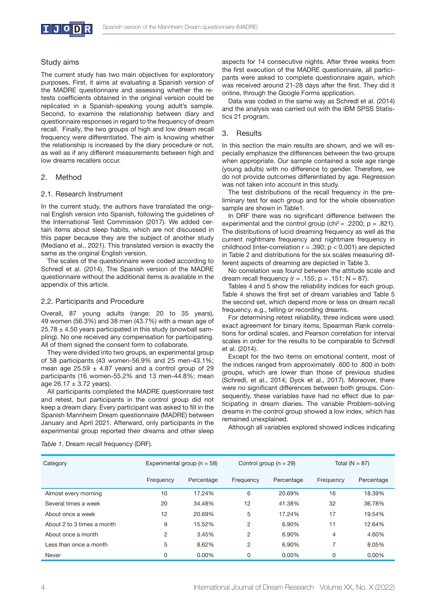

## Study aims

The current study has two main objectives for exploratory purposes. First, it aims at evaluating a Spanish version of the MADRE questionnaire and assessing whether the retests coefficients obtained in the original version could be replicated in a Spanish-speaking young adult's sample. Second, to examine the relationship between diary and questionnaire responses in regard to the frequency of dream recall. Finally, the two groups of high and low dream recall frequency were differentiated. The aim is knowing whether the relationship is increased by the diary procedure or not, as well as if any different measurements between high and low dreams recallers occur.

# 2. Method

# 2.1. Research Instrument

In the current study, the authors have translated the original English version into Spanish, following the guidelines of the International Test Commission (2017). We added certain items about sleep habits, which are not discussed in this paper because they are the subject of another study (Mediano et al., 2021). This translated version is exactly the same as the original English version.

The scales of the questionnaire were coded according to Schredl et al. (2014). The Spanish version of the MADRE questionnaire without the additional items is available in the appendix of this article.

#### 2.2. Participants and Procedure

Overall, 87 young adults (range: 20 to 35 years), 49 women (56.3%) and 38 men (43.7%) with a mean age of  $25.78 \pm 4.50$  years participated in this study (snowball sampling). No one received any compensation for participating. All of them signed the consent form to collaborate.

They were divided into two groups, an experimental group of 58 participants (43 women-56.9% and 25 men-43.1%; mean age  $25.59 \pm 4.87$  years) and a control group of 29 participants (16 women-55.2% and 13 men-44.8%; mean age  $26.17 \pm 3.72$  years).

All participants completed the MADRE questionnaire test and retest, but participants in the control group did not keep a dream diary. Every participant was asked to fill in the Spanish Mannheim Dream questionnaire (MADRE) between January and April 2021. Afterward, only participants in the experimental group reported their dreams and other sleep aspects for 14 consecutive nights. After three weeks from the first execution of the MADRE questionnaire, all participants were asked to complete questionnaire again, which was received around 21-28 days after the first. They did it online, through the Google Forms application.

Data was coded in the same way as Schredl et al. (2014) and the analysis was carried out with the IBM SPSS Statistics 21 program.

# 3. Results

In this section the main results are shown, and we will especially emphasize the differences between the two groups when appropriate. Our sample contained a sole age range (young adults) with no difference to gender. Therefore, we do not provide outcomes differentiated by age. Regression was not taken into account in this study.

The test distributions of the recall frequency in the preliminary test for each group and for the whole observation sample are shown in Table1.

In DRF there was no significant difference between the experimental and the control group (chi<sup>2</sup> = .2200;  $p = .821$ ). The distributions of lucid dreaming frequency as well as the current nightmare frequency and nightmare frequency in childhood (inter-correlation  $r = .390$ ;  $p < 0.001$ ) are depicted in Table 2 and distributions for the six scales measuring different aspects of dreaming are depicted in Table 3.

No correlation was found between the attitude scale and dream recall frequency ( $r = .155$ ;  $p = .151$ ;  $N = 87$ ).

Tables 4 and 5 show the reliability indices for each group. Table 4 shows the first set of dream variables and Table 5 the second set, which depend more or less on dream recall frequency, e.g., telling or recording dreams.

For determining retest reliability, three indices were used: exact agreement for binary items, Spearman Rank correlations for ordinal scales, and Pearson correlation for interval scales in order for the results to be comparable to Schredl et al. (2014).

Except for the two items on emotional content, most of the indices ranged from approximately .600 to .800 in both groups, which are lower than those of previous studies (Schredl, et al., 2014; Dyck et al., 2017). Moreover, there were no significant differences between both groups. Consequently, these variables have had no effect due to participating in dream diaries. The variable Problem-solving dreams in the control group showed a low index, which has remained unexplained.

Although all variables explored showed indices indicating

| Category                   |           | Experimental group ( $n = 58$ )<br>Control group ( $n = 29$ ) |           | Total ( $N = 87$ ) |           |            |
|----------------------------|-----------|---------------------------------------------------------------|-----------|--------------------|-----------|------------|
|                            | Frequency | Percentage                                                    | Frequency | Percentage         | Frequency | Percentage |
| Almost every morning       | 10        | 17.24%                                                        | 6         | 20.69%             | 16        | 18.39%     |
| Several times a week       | 20        | 34.48%                                                        | 12        | 41.38%             | 32        | 36.78%     |
| About once a week          | 12        | 20.69%                                                        | 5         | 17.24%             | 17        | 19.54%     |
| About 2 to 3 times a month | 9         | 15.52%                                                        | 2         | 6.90%              | 11        | 12.64%     |
| About once a month         | 2         | 3.45%                                                         | 2         | 6.90%              | 4         | 4.60%      |
| Less than once a month     | 5         | 8.62%                                                         | 2         | 6.90%              | 7         | 8.05%      |
| Never                      | 0         | $0.00\%$                                                      | 0         | $0.00\%$           | 0         | 0.00%      |

*Table 1*. Dream recall frequency (DRF).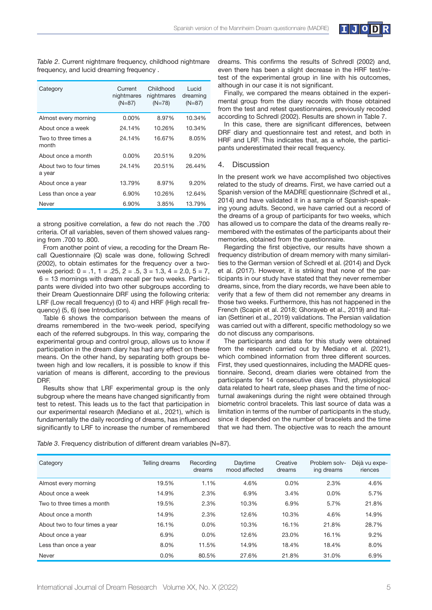

| Category                          | Current<br>nightmares<br>$(N=87)$ | Childhood<br>nightmares<br>$(N=78)$ | Lucid<br>dreaming<br>$(N=87)$ |
|-----------------------------------|-----------------------------------|-------------------------------------|-------------------------------|
| Almost every morning              | $0.00\%$                          | 8.97%                               | 10.34%                        |
| About once a week                 | 24.14%                            | 10.26%                              | 10.34%                        |
| Two to three times a<br>month     | 24.14%                            | 16.67%                              | 8.05%                         |
| About once a month                | $0.00\%$                          | 20.51%                              | 9.20%                         |
| About two to four times<br>a year | 24.14%                            | 20.51%                              | 26.44%                        |
| About once a year                 | 13.79%                            | 8.97%                               | 9.20%                         |
| Less than once a year             | 6.90%                             | 10.26%                              | 12.64%                        |
| Never                             | 6.90%                             | 3.85%                               | 13.79%                        |

*Table 2*. Current nightmare frequency, childhood nightmare frequency, and lucid dreaming frequency .

a strong positive correlation, a few do not reach the .700 criteria. Of all variables, seven of them showed values ranging from .700 to .800.

From another point of view, a recoding for the Dream Recall Questionnaire (Q) scale was done, following Schredl (2002), to obtain estimates for the frequency over a twoweek period:  $0 = .1$ ,  $1 = .25$ ,  $2 = .5$ ,  $3 = 1.3$ ,  $4 = 2.0$ ,  $5 = 7$ ,  $6 = 13$  mornings with dream recall per two weeks. Participants were divided into two other subgroups according to their Dream Questionnaire DRF using the following criteria: LRF (Low recall frequency) (0 to 4) and HRF (High recall frequency) (5, 6) (see Introduction).

Table 6 shows the comparison between the means of dreams remembered in the two-week period, specifying each of the referred subgroups. In this way, comparing the experimental group and control group, allows us to know if participation in the dream diary has had any effect on these means. On the other hand, by separating both groups between high and low recallers, it is possible to know if this variation of means is different, according to the previous DRF.

Results show that LRF experimental group is the only subgroup where the means have changed significantly from test to retest. This leads us to the fact that participation in our experimental research (Mediano et al., 2021), which is fundamentally the daily recording of dreams, has influenced significantly to LRF to increase the number of remembered

dreams. This confirms the results of Schredl (2002) and, even there has been a slight decrease in the HRF test/retest of the experimental group in line with his outcomes, although in our case it is not significant.

Finally, we compared the means obtained in the experimental group from the diary records with those obtained from the test and retest questionnaires, previously recoded according to Schredl (2002). Results are shown in Table 7.

In this case, there are significant differences, between DRF diary and questionnaire test and retest, and both in HRF and LRF. This indicates that, as a whole, the participants underestimated their recall frequency.

#### 4. Discussion

In the present work we have accomplished two objectives related to the study of dreams. First, we have carried out a Spanish version of the MADRE questionnaire (Schredl et al., 2014) and have validated it in a sample of Spanish-speaking young adults. Second, we have carried out a record of the dreams of a group of participants for two weeks, which has allowed us to compare the data of the dreams really remembered with the estimates of the participants about their memories, obtained from the questionnaire.

Regarding the first objective, our results have shown a frequency distribution of dream memory with many similarities to the German version of Schredl et al. (2014) and Dyck et al. (2017). However, it is striking that none of the participants in our study have stated that they never remember dreams, since, from the diary records, we have been able to verify that a few of them did not remember any dreams in those two weeks. Furthermore, this has not happened in the French (Scapin et al. 2018; Ghorayeb et al., 2019) and Italian (Settineri et al., 2019) validations. The Persian validation was carried out with a different, specific methodology so we do not discuss any comparisons.

The participants and data for this study were obtained from the research carried out by Mediano et al. (2021), which combined information from three different sources. First, they used questionnaires, including the MADRE questionnaire. Second, dream diaries were obtained from the participants for 14 consecutive days. Third, physiological data related to heart rate, sleep phases and the time of nocturnal awakenings during the night were obtained through biometric control bracelets. This last source of data was a limitation in terms of the number of participants in the study, since it depended on the number of bracelets and the time that we had them. The objective was to reach the amount

*Table 3*. Frequency distribution of different dream variables (N=87).

| Category                       | Telling dreams | Recordina<br>dreams | Daytime<br>mood affected | Creative<br>dreams | Problem solv-<br>ing dreams | Déjà vu expe-<br>riences |
|--------------------------------|----------------|---------------------|--------------------------|--------------------|-----------------------------|--------------------------|
| Almost every morning           | 19.5%          | 1.1%                | 4.6%                     | $0.0\%$            | 2.3%                        | 4.6%                     |
| About once a week              | 14.9%          | 2.3%                | 6.9%                     | 3.4%               | $0.0\%$                     | 5.7%                     |
| Two to three times a month     | 19.5%          | 2.3%                | 10.3%                    | 6.9%               | 5.7%                        | 21.8%                    |
| About once a month             | 14.9%          | 2.3%                | 12.6%                    | 10.3%              | 4.6%                        | 14.9%                    |
| About two to four times a year | 16.1%          | $0.0\%$             | 10.3%                    | 16.1%              | 21.8%                       | 28.7%                    |
| About once a year              | 6.9%           | $0.0\%$             | 12.6%                    | 23.0%              | 16.1%                       | 9.2%                     |
| Less than once a year          | 8.0%           | 11.5%               | 14.9%                    | 18.4%              | 18.4%                       | 8.0%                     |
| Never                          | 0.0%           | 80.5%               | 27.6%                    | 21.8%              | 31.0%                       | 6.9%                     |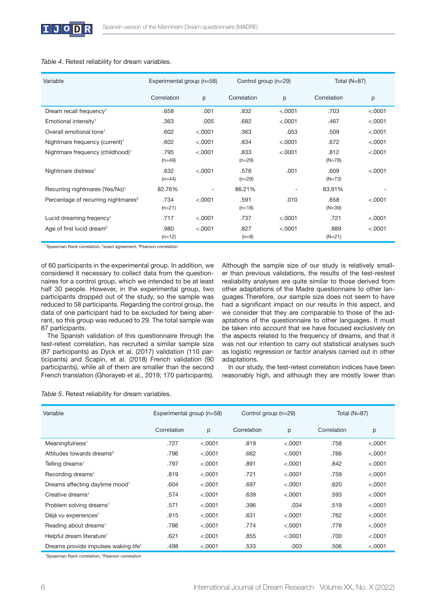| Variable                                        | Experimental group (n=58) |         | Control group (n=29) |         | Total $(N=87)$   |         |
|-------------------------------------------------|---------------------------|---------|----------------------|---------|------------------|---------|
|                                                 | Correlation               | p       | Correlation          | p       | Correlation      | p       |
| Dream recall frequency <sup>1</sup>             | .658                      | .001    | .832                 | < .0001 | .703             | < .0001 |
| Emotional intensity <sup>1</sup>                | .363                      | .005    | .682                 | < .0001 | .467             | < .0001 |
| Overall emotional tone <sup>1</sup>             | .602                      | < .0001 | .363                 | .053    | .509             | < .0001 |
| Nightmare frequency (current) <sup>1</sup>      | .602                      | < .0001 | .834                 | < .0001 | .672             | < .0001 |
| Nightmare frequency (childhood) <sup>1</sup>    | .795<br>$(n=49)$          | < .0001 | .833<br>$(n=29)$     | < .0001 | .812<br>$(N=78)$ | < .0001 |
| Nightmare distress <sup>1</sup>                 | .632<br>$(n=44)$          | < .0001 | .578<br>$(n=29)$     | .001    | .609<br>$(N=73)$ | < .0001 |
| Recurring nightmares (Yes/No) <sup>1</sup>      | 82.76%                    | ٠       | 86.21%               |         | 83.91%           |         |
| Percentage of recurring nightmares <sup>3</sup> | .734<br>$(n=21)$          | < .0001 | .591<br>$(n=18)$     | .010    | .658<br>$(N=39)$ | < .0001 |
| Lucid dreaming fregency <sup>1</sup>            | .717                      | < .0001 | .737                 | < .0001 | .721             | < .0001 |
| Age of first lucid dream <sup>2</sup>           | .980<br>$(n=12)$          | < .0001 | .827<br>$(n=9)$      | < .0001 | .889<br>$(N=21)$ | < .0001 |

#### *Table 4*. Retest reliability for dream variables.

<sup>1</sup>Spearman Rank correlation, <sup>2</sup>exact agreement, <sup>3</sup>Pearson correlation

of 60 participants in the experimental group. In addition, we considered it necessary to collect data from the questionnaires for a control group, which we intended to be at least half 30 people. However, in the experimental group, two participants dropped out of the study, so the sample was reduced to 58 participants. Regarding the control group, the data of one participant had to be excluded for being aberrant, so this group was reduced to 29. The total sample was 87 participants.

The Spanish validation of this questionnaire through the test-retest correlation, has recruited a similar sample size (87 participants) as Dyck et al. (2017) validation (110 participants) and Scapin, et al. (2018) French validation (90 participants), while all of them are smaller than the second French translation (Ghorayeb et al., 2019; 170 participants).

Although the sample size of our study is relatively smaller than previous validations, the results of the test-restest realiability analyses are quite similar to those derived from other adaptations of the Madre questionnaire to other languages Therefore, our sample size does not seem to have had a significant impact on our results in this aspect, and we consider that they are comparable to those of the adaptations of the questionnaire to other languages. It must be taken into account that we have focused exclusively on the aspects related to the frequency of dreams, and that it was not our intention to carry out statistical analyses such as logistic regression or factor analysis carried out in other adaptations.

In our study, the test-retest correlation indices have been reasonably high, and although they are mostly lower than

*Table 5*. Retest reliability for dream variables.

| Variable                                         | Experimental group (n=58) |         | Control group (n=29) |         | Total $(N=87)$ |         |
|--------------------------------------------------|---------------------------|---------|----------------------|---------|----------------|---------|
|                                                  | Correlation               | p       | Correlation          | p       | Correlation    | p       |
| Meaningfulness <sup>1</sup>                      | .727                      | < .0001 | .819                 | < .0001 | .758           | < .0001 |
| Attitudes towards dreams <sup>2</sup>            | .796                      | < .0001 | .662                 | < .0001 | .766           | < .0001 |
| Telling dreams <sup>1</sup>                      | .797                      | < .0001 | .891                 | < .0001 | .842           | < .0001 |
| Recording dreams <sup>1</sup>                    | .819                      | < .0001 | .721                 | < .0001 | .759           | < .0001 |
| Dreams affecting daytime mood <sup>1</sup>       | .604                      | < .0001 | .697                 | < .0001 | .620           | < .0001 |
| Creative dreams <sup>1</sup>                     | .574                      | < .0001 | .639                 | < .0001 | .593           | < .0001 |
| Problem solving dreams <sup>1</sup>              | .571                      | < .0001 | .396                 | .034    | .519           | < .0001 |
| Déjà vu experiences <sup>1</sup>                 | .815                      | < .0001 | .631                 | < .0001 | .762           | < .0001 |
| Reading about dreams <sup>1</sup>                | .786                      | < .0001 | .774                 | < .0001 | .778           | < .0001 |
| Helpful dream literature <sup>1</sup>            | .621                      | < .0001 | .855                 | < .0001 | .700           | < .0001 |
| Dreams provide impulses waking life <sup>1</sup> | .498                      | < .0001 | .533                 | .003    | .506           | < .0001 |

<sup>1</sup>Spearman Rank correlation, <sup>2</sup>Pearson correlation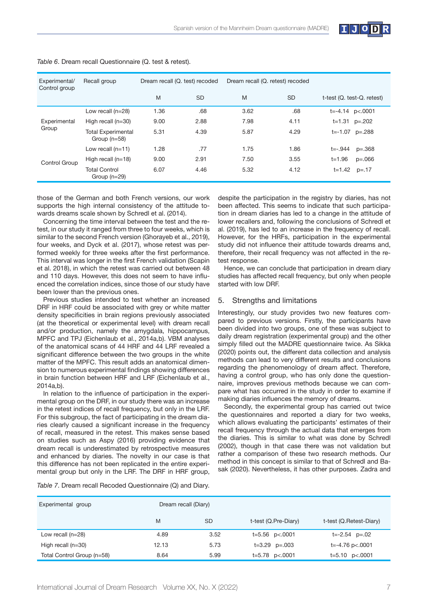

| Experimental/<br>Control group | Recall group                                | Dream recall (Q. test) recoded |           | Dream recall (Q. retest) recoded |           |                            |
|--------------------------------|---------------------------------------------|--------------------------------|-----------|----------------------------------|-----------|----------------------------|
|                                |                                             | M                              | <b>SD</b> | M                                | <b>SD</b> | t-test (Q. test-Q. retest) |
|                                | Low recall (n=28)                           | 1.36                           | .68       | 3.62                             | .68       | $t=-4.14$ p<.0001          |
| Experimental                   | High recall $(n=30)$                        | 9.00                           | 2.88      | 7.98                             | 4.11      | $t=1.31$ $p=.202$          |
| Group                          | <b>Total Experimental</b><br>Group $(n=58)$ | 5.31                           | 4.39      | 5.87                             | 4.29      | $t = -1.07$ $p = .288$     |
|                                | Low recall $(n=11)$                         | 1.28                           | .77       | 1.75                             | 1.86      | $t = -0.944$<br>$p=.368$   |
| Control Group                  | High recall $(n=18)$                        | 9.00                           | 2.91      | 7.50                             | 3.55      | t=1.96<br>$p=.066$         |
|                                | <b>Total Control</b><br>Group $(n=29)$      | 6.07                           | 4.46      | 5.32                             | 4.12      | $t = 1.42$<br>p=.17        |

*Table 6*. Dream recall Questionnaire (Q. test & retest).

those of the German and both French versions, our work supports the high internal consistency of the attitude towards dreams scale shown by Schredl et al. (2014).

Concerning the time interval between the test and the retest, in our study it ranged from three to four weeks, which is similar to the second French version (Ghorayeb et al., 2019), four weeks, and Dyck et al. (2017), whose retest was performed weekly for three weeks after the first performance. This interval was longer in the first French validation (Scapin et al. 2018), in which the retest was carried out between 48 and 110 days. However, this does not seem to have influenced the correlation indices, since those of our study have been lower than the previous ones.

Previous studies intended to test whether an increased DRF in HRF could be associated with grey or white matter density specificities in brain regions previously associated (at the theoretical or experimental level) with dream recall and/or production, namely the amygdala, hippocampus, MPFC and TPJ (Eichenlaub et al., 2014a,b). VBM analyses of the anatomical scans of 44 HRF and 44 LRF revealed a significant difference between the two groups in the white matter of the MPFC. This result adds an anatomical dimension to numerous experimental findings showing differences in brain function between HRF and LRF (Eichenlaub et al., 2014a,b).

In relation to the influence of participation in the experimental group on the DRF, in our study there was an increase in the retest indices of recall frequency, but only in the LRF. For this subgroup, the fact of participating in the dream diaries clearly caused a significant increase in the frequency of recall, measured in the retest. This makes sense based on studies such as Aspy (2016) providing evidence that dream recall is underestimated by retrospective measures and enhanced by diaries. The novelty in our case is that this difference has not been replicated in the entire experimental group but only in the LRF. The DRF in HRF group,

*Table 7*. Dream recall Recoded Questionnaire (Q) and Diary.

Experimental group Dream recall (Diary) M SD t-test (Q.Pre-Diary) t-test (Q.Retest-Diary) Low recall (n=28) 4.89 3.52 t=5.56 p<.0001 t=-2.54 p=.02 High recall (n=30) 12.13 5.73 t=3.29 p=.003 t=-4.76 p<.0001 Total Control Group (n=58) 8.64 5.99 t=5.78 p<.0001 t=5.10 p<.0001

despite the participation in the registry by diaries, has not been affected. This seems to indicate that such participation in dream diaries has led to a change in the attitude of lower recallers and, following the conclusions of Schredl et al. (2019), has led to an increase in the frequency of recall. However, for the HRFs, participation in the experimental study did not influence their attitude towards dreams and, therefore, their recall frequency was not affected in the retest response.

Hence, we can conclude that participation in dream diary studies has affected recall frequency, but only when people started with low DRF.

#### 5. Strengths and limitations

Interestingly, our study provides two new features compared to previous versions. Firstly, the participants have been divided into two groups, one of these was subject to daily dream registration (experimental group) and the other simply filled out the MADRE questionnaire twice. As Sikka (2020) points out, the different data collection and analysis methods can lead to very different results and conclusions regarding the phenomenology of dream affect. Therefore, having a control group, who has only done the questionnaire, improves previous methods because we can compare what has occurred in the study in order to examine if making diaries influences the memory of dreams.

Secondly, the experimental group has carried out twice the questionnaires and reported a diary for two weeks, which allows evaluating the participants' estimates of their recall frequency through the actual data that emerges from the diaries. This is similar to what was done by Schredl (2002), though in that case there was not validation but rather a comparison of these two research methods. Our method in this concept is similar to that of Schredl and Basak (2020). Nevertheless, it has other purposes. Zadra and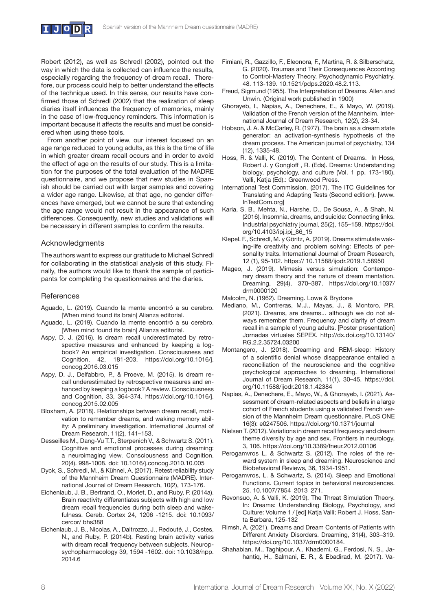

Robert (2012), as well as Schredl (2002), pointed out the way in which the data is collected can influence the results, especially regarding the frequency of dream recall. Therefore, our process could help to better understand the effects of the technique used. In this sense, our results have confirmed those of Schredl (2002) that the realization of sleep diaries itself influences the frequency of memories, mainly in the case of low-frequency reminders. This information is important because it affects the results and must be considered when using these tools.

From another point of view, our interest focused on an age range reduced to young adults, as this is the time of life in which greater dream recall occurs and in order to avoid the effect of age on the results of our study. This is a limitation for the purposes of the total evaluation of the MADRE questionnaire, and we propose that new studies in Spanish should be carried out with larger samples and covering a wider age range. Likewise, at that age, no gender differences have emerged, but we cannot be sure that extending the age range would not result in the appearance of such differences. Consequently, new studies and validations will be necessary in different samples to confirm the results.

#### Acknowledgments

The authors want to express our gratitude to Michael Schredl for collaborating in the statistical analysis of this study. Finally, the authors would like to thank the sample of participants for completing the questionnaires and the diaries.

#### **References**

- Aguado, L. (2019). Cuando la mente encontró a su cerebro. [When mind found its brain] Alianza editorial.
- Aguado, L. (2019). Cuando la mente encontró a su cerebro. [When mind found its brain] Alianza editorial.
- Aspy, D. J. (2016). Is dream recall underestimated by retrospective measures and enhanced by keeping a logbook? An empirical investigation. Consciousness and Cognition, 42, 181-203. https://doi.org/10.1016/j. concog.2016.03.015
- Aspy, D. J., Delfabbro, P., & Proeve, M. (2015). Is dream recall underestimated by retrospective measures and enhanced by keeping a logbook? A review. Consciousness and Cognition, 33, 364-374. https://doi.org/10.1016/j. concog.2015.02.005
- Bloxham, A. (2018). Relationships between dream recall, motivation to remember dreams, and waking memory ability: A preliminary investigation. International Journal of Dream Research, 11(2), 141–153.
- Desseilles M., Dang-Vu T.T., Sterpenich V., & Schwartz S. (2011). Cognitive and emotional processes during dreaming: a neuroimaging view. Consciousness and Cognition. 20(4). 998-1008. doi: 10.1016/j.concog.2010.10.005
- Dyck, S., Schredl, M., & Kühnel, A. (2017). Retest reliability study of the Mannheim Dream Questionnaire (MADRE). International Journal of Dream Research, 10(2), 173-176.
- Eichenlaub, J. B., Bertrand, O., Morlet, D., and Ruby, P. (2014a). Brain reactivity differentiates subjects with high and low dream recall frequencies during both sleep and wakefulness. Cereb. Cortex 24, 1206 -1215. doi: 10.1093/ cercor/ bhs388
- Eichenlaub, J. B., Nicolas, A., Daltrozzo, J., Redouté, J., Costes, N., and Ruby, P. (2014b). Resting brain activity varies with dream recall frequency between subjects. Neuropsychopharmacology 39, 1594 -1602. doi: 10.1038/npp. 2014.6
- Fimiani, R., Gazzillo, F., Eleonora, F., Martina, R. & Silberschatz, G. (2020). Traumas and Their Consequences According to Control-Mastery Theory. Psychodynamic Psychiatry. 48. 113-139. 10.1521/pdps.2020.48.2.113.
- Freud, Sigmund (1955). The Interpretation of Dreams. Allen and Unwin. (Original work published in 1900)
- Ghorayeb, I., Napias, A., Denechere, E., & Mayo, W. (2019). Validation of the French version of the Mannheim. International Journal of Dream Research, 12(2), 23-34.
- Hobson, J. A. & McCarley, R. (1977). The brain as a dream state generator: an activation-synthesis hypothesis of the dream process. The American journal of psychiatry, 134 (12), 1335-48.
- Hoss, R. & Valli, K. (2019). The Content of Dreams. In Hoss, Robert J. y Gongloff , R. (Eds). Dreams: Understanding biology, psychology, and culture (Vol. 1 pp. 173-180). Valli, Katja (Ed).: Greenwood Press.
- International Test Commission. (2017). The ITC Guidelines for Translating and Adapting Tests (Second edition). [www. InTestCom.org]
- Karia, S. B., Mehta, N., Harshe, D., De Sousa, A., & Shah, N. (2016). Insomnia, dreams, and suicide: Connecting links. Industrial psychiatry journal, 25(2), 155–159. https://doi. org/10.4103/ipj.ipj\_86\_15
- Klepel. F., Schredl, M. y Göritz, A. (2019). Dreams stimulate waking-life creativity and problem solving: Effects of personality traits. International Journal of Dream Research, 12 (1), 95-102. https:// 10.11588/ijodr.2019.1.58950
- Mageo, J. (2019). Mimesis versus simulation: Contemporary dream theory and the nature of dream mentation. Dreaming, 29(4), 370–387. https://doi.org/10.1037/ drm0000120
- Malcolm, N. (1962). Dreaming. Lowe & Brydone
- Mediano, M., Contreras, M.J., Mayas, J., & Montoro, P.R. (2021). Dreams, are dreams... although we do not always remember them. Frequency and clarity of dream recall in a sample of young adults. [Poster presentation] Jornadas virtuales SEPEX. http://dx.doi.org/10.13140/ RG.2.2.35724.03200
- Montangero, J. (2018). Dreaming and REM-sleep: History of a scientific denial whose disappearance entailed a reconciliation of the neuroscience and the cognitive psychological approaches to dreaming. International Journal of Dream Research, 11(1), 30–45. https://doi. org/10.11588/ijodr.2018.1.42384
- Napias, A., Denechere, E., Mayo, W., & Ghorayeb, I. (2021). Assessment of dream-related aspects and beliefs in a large cohort of French students using a validated French version of the Mannheim Dream questionnaire. PLoS ONE 16(3): e0247506. https://doi.org/10.1371/journal
- Nielsen T. (2012). Variations in dream recall frequency and dream theme diversity by age and sex. Frontiers in neurology, 3, 106. https://doi.org/10.3389/fneur.2012.00106
- Perogamvros L, & Schwartz S. (2012). The roles of the reward system in sleep and dreaming. Neuroscience and Biobehavioral Reviews, 36, 1934-1951.
- Perogamvros, L. & Schwartz, S. (2014). Sleep and Emotional Functions. Current topics in behavioral neurosciences. 25. 10.1007/7854\_2013\_271.
- Revonsuo, A. & Valli, K. (2019). The Threat Simulation Theory. In: Dreams: Understanding Biology, Psychology, and Culture: Volume 1 / [ed] Katja Valli; Robert J. Hoss, Santa Barbara, 125-132
- Rimsh, A. (2021). Dreams and Dream Contents of Patients with Different Anxiety Disorders. Dreaming, 31(4), 303–319. https://doi.org/10.1037/drm0000184.
- Shahabian, M., Taghipour, A., Khademi, G., Ferdosi, N. S., Jahantiq, H., Salmani, E. R., & Ebadirad, M. (2017). Va-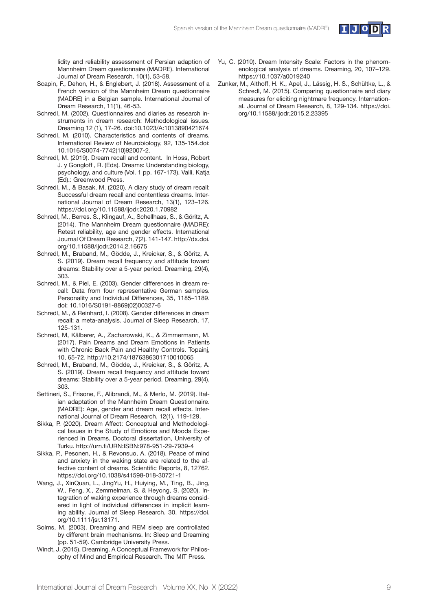

lidity and reliability assessment of Persian adaption of Mannheim Dream questionnaire (MADRE). International Journal of Dream Research, 10(1), 53-58.

- Scapin, F., Dehon, H., & Englebert, J. (2018). Assessment of a French version of the Mannheim Dream questionnaire (MADRE) in a Belgian sample. International Journal of Dream Research, 11(1), 46-53.
- Schredl, M. (2002). Questionnaires and diaries as research instruments in dream research: Methodological issues. Dreaming 12 (1), 17-26. doi:10.1023/A:1013890421674
- Schredl, M. (2010). Characteristics and contents of dreams. International Review of Neurobiology, 92, 135-154.doi: 10.1016/S0074-7742(10)92007-2.
- Schredl, M. (2019). Dream recall and content. In Hoss, Robert J. y Gongloff , R. (Eds). Dreams: Understanding biology, psychology, and culture (Vol. 1 pp. 167-173). Valli, Katja (Ed).: Greenwood Press.
- Schredl, M., & Basak, M. (2020). A diary study of dream recall: Successful dream recall and contentless dreams. International Journal of Dream Research, 13(1), 123–126. https://doi.org/10.11588/ijodr.2020.1.70982
- Schredl, M., Berres. S., Klingauf, A., Schellhaas, S., & Göritz, A. (2014). The Mannheim Dream questionnaire (MADRE): Retest reliability, age and gender effects. International Journal Of Dream Research, 7(2). 141-147. http://dx.doi. org/10.11588/ijodr.2014.2.16675
- Schredl, M., Braband, M., Gödde, J., Kreicker, S., & Göritz, A. S. (2019). Dream recall frequency and attitude toward dreams: Stability over a 5-year period. Dreaming, 29(4), 303.
- Schredl, M., & Piel, E. (2003). Gender differences in dream recall: Data from four representative German samples. Personality and Individual Differences, 35, 1185–1189. doi: 10.1016/S0191-8869(02)00327-6
- Schredl, M., & Reinhard, I. (2008). Gender differences in dream recall: a meta-analysis. Journal of Sleep Research, 17, 125-131.
- Schredl, M, Kälberer, A., Zacharowski, K., & Zimmermann, M. (2017). Pain Dreams and Dream Emotions in Patients with Chronic Back Pain and Healthy Controls. Topainj, 10, 65-72. http://10.2174/1876386301710010065
- Schredl, M., Braband, M., Gödde, J., Kreicker, S., & Göritz, A. S. (2019). Dream recall frequency and attitude toward dreams: Stability over a 5-year period. Dreaming, 29(4), 303.
- Settineri, S., Frisone, F., Alibrandi, M., & Merlo, M. (2019). Italian adaptation of the Mannheim Dream Questionnaire. (MADRE): Age, gender and dream recall effects. International Journal of Dream Research, 12(1), 119-129.
- Sikka, P. (2020). Dream Affect: Conceptual and Methodological Issues in the Study of Emotions and Moods Experienced in Dreams. Doctoral dissertation, University of Turku. http://urn.fi/URN:ISBN:978-951-29-7939-4
- Sikka, P., Pesonen, H., & Revonsuo, A. (2018). Peace of mind and anxiety in the waking state are related to the affective content of dreams. Scientific Reports, 8, 12762. https://doi.org/10.1038/s41598-018-30721-1
- Wang, J., XinQuan, L., JingYu, H., Huiying, M., Ting, B., Jing, W., Feng, X., Zemmelman, S. & Heyong, S. (2020). Integration of waking experience through dreams considered in light of individual differences in implicit learning ability. Journal of Sleep Research. 30. https://doi. org/10.1111/jsr.13171.
- Solms, M. (2003). Dreaming and REM sleep are controllated by different brain mechanisms. In: Sleep and Dreaming (pp. 51-59). Cambridge University Press.
- Windt, J. (2015). Dreaming. A Conceptual Framework for Philosophy of Mind and Empirical Research. The MIT Press.
- Yu, C. (2010). Dream Intensity Scale: Factors in the phenomenological analysis of dreams. Dreaming, 20, 107–129. https://10.1037/a0019240
- Zunker, M., Althoff, H. K., Apel, J., Lässig, H. S., Schültke, L., & Schredl, M. (2015). Comparing questionnaire and diary measures for eliciting nightmare frequency. International. Journal of Dream Research, 8, 129-134. https://doi. org/10.11588/ijodr.2015.2.23395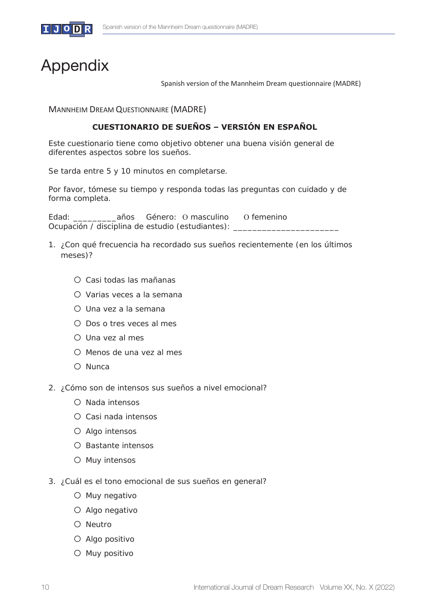

# Appendix

Spanish version of the Mannheim Dream questionnaire (MADRE)

MANNHEIM DREAM QUESTIONNAIRE (MADRE)

# **CUESTIONARIO DE SUEÑOS – VERSIÓN EN ESPAÑOL**

Este cuestionario tiene como objetivo obtener una buena visión general de diferentes aspectos sobre los sueños.

Se tarda entre 5 y 10 minutos en completarse.

Por favor, tómese su tiempo y responda todas las preguntas con cuidado y de forma completa.

Edad: \_\_\_\_\_\_\_\_\_años Género: 2 masculino 2 femenino Ocupación / disciplina de estudio (estudiantes): \_

- 1. ¿Con qué frecuencia ha recordado sus sueños recientemente (en los últimos meses)?
	- o Casi todas las mañanas
	- o Varias veces a la semana
	- o Una vez a la semana
	- o Dos o tres veces al mes
	- o Una vez al mes
	- o Menos de una vez al mes
	- o Nunca
- 2. ¿Cómo son de intensos sus sueños a nivel emocional?
	- o Nada intensos
	- o Casi nada intensos
	- o Algo intensos
	- o Bastante intensos
	- o Muy intensos
- 3. ¿Cuál es el tono emocional de sus sueños en general?
	- o Muy negativo
	- o Algo negativo
	- o Neutro
	- o Algo positivo
	- o Muy positivo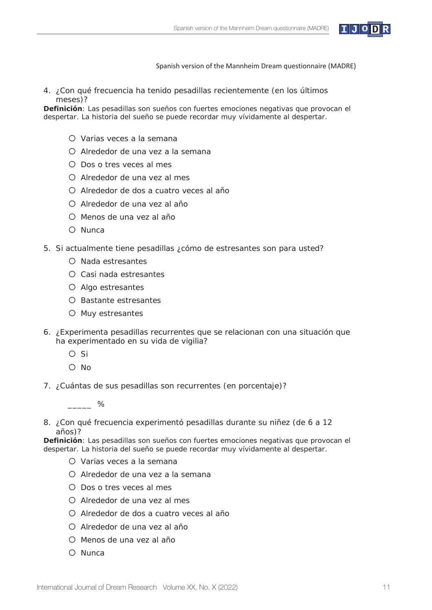

4. ¿Con qué frecuencia ha tenido pesadillas recientemente (en los últimos meses)?

**Definición**: Las pesadillas son sueños con fuertes emociones negativas que provocan el despertar. La historia del sueño se puede recordar muy vívidamente al despertar.

- o Varias veces a la semana
- o Alrededor de una vez a la semana
- o Dos o tres veces al mes
- o Alrededor de una vez al mes
- o Alrededor de dos a cuatro veces al año
- o Alrededor de una vez al año
- o Menos de una vez al año
- o Nunca
- 5. Si actualmente tiene pesadillas ¿cómo de estresantes son para usted?
	- o Nada estresantes
	- o Casi nada estresantes
	- o Algo estresantes
	- o Bastante estresantes
	- o Muy estresantes
- 6. ¿Experimenta pesadillas recurrentes que se relacionan con una situación que ha experimentado en su vida de vigilia?
	- o Si
	- o No
- 7. ¿Cuántas de sus pesadillas son recurrentes (en porcentaje)?

 $\%$ 

8. ¿Con qué frecuencia experimentó pesadillas durante su niñez (de 6 a 12 años)?

**Definición**: Las pesadillas son sueños con fuertes emociones negativas que provocan el despertar. La historia del sueño se puede recordar muy vívidamente al despertar.

- o Varias veces a la semana
- o Alrededor de una vez a la semana
- o Dos o tres veces al mes
- o Alrededor de una vez al mes
- o Alrededor de dos a cuatro veces al año
- o Alrededor de una vez al año
- o Menos de una vez al año
- o Nunca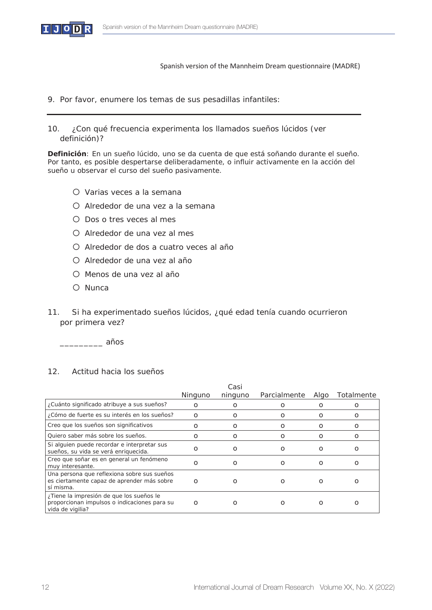

- 9. Por favor, enumere los temas de sus pesadillas infantiles:
- 10. ¿Con qué frecuencia experimenta los llamados sueños lúcidos (ver definición)?

**Definición**: En un sueño lúcido, uno se da cuenta de que está soñando durante el sueño. Por tanto, es posible despertarse deliberadamente, o influir activamente en la acción del sueño u observar el curso del sueño pasivamente.

- o Varias veces a la semana
- o Alrededor de una vez a la semana
- o Dos o tres veces al mes
- o Alrededor de una vez al mes
- o Alrededor de dos a cuatro veces al año
- o Alrededor de una vez al año
- o Menos de una vez al año
- o Nunca
- 11. Si ha experimentado sueños lúcidos, ¿qué edad tenía cuando ocurrieron por primera vez?

\_\_\_\_\_\_\_\_\_ años

# 12. Actitud hacia los sueños

|                                                                                                              |          | Casi           |              |          |            |
|--------------------------------------------------------------------------------------------------------------|----------|----------------|--------------|----------|------------|
|                                                                                                              | Ninguno  | ninguno        | Parcialmente | Algo     | Totalmente |
| ¿Cuánto significado atribuye a sus sueños?                                                                   | $\Omega$ | O              | Ο            | O        | Ο          |
| ¿Cómo de fuerte es su interés en los sueños?                                                                 | $\Omega$ | $\Omega$       | O            | O        | Ο          |
| Creo que los sueños son significativos                                                                       | О        | O              | O            | 0        | O          |
| Quiero saber más sobre los sueños.                                                                           | Ο        | $\Omega$       | Ο            | O        | O          |
| Si alguien puede recordar e interpretar sus<br>sueños, su vida se verá enriquecida.                          | റ        | $\Omega$       | Ω            | Ο        | Ο          |
| Creo que soñar es en general un fenómeno<br>muy interesante.                                                 | O        | Ω              | $\Omega$     | $\Omega$ | O          |
| Una persona que reflexiona sobre sus sueños<br>es ciertamente capaz de aprender más sobre<br>sí misma.       | $\Omega$ | Ω              | O            | Ο        | O          |
| ¿Tiene la impresión de que los sueños le<br>proporcionan impulsos o indicaciones para su<br>vida de vigilia? | $\Omega$ | $\mathfrak{g}$ |              | O        | O          |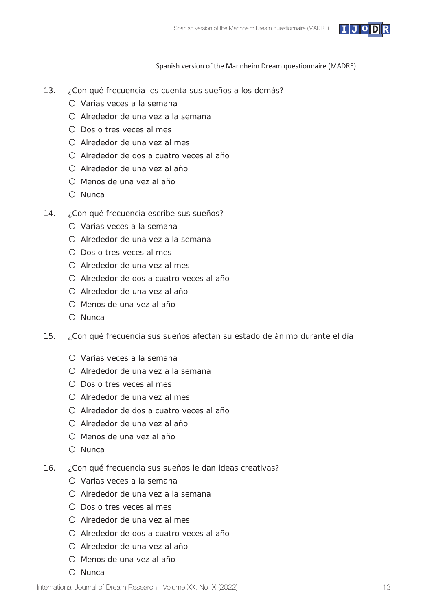

- 13. ¿Con qué frecuencia les cuenta sus sueños a los demás?
	- o Varias veces a la semana
	- o Alrededor de una vez a la semana
	- o Dos o tres veces al mes
	- o Alrededor de una vez al mes
	- o Alrededor de dos a cuatro veces al año
	- o Alrededor de una vez al año
	- o Menos de una vez al año
	- o Nunca
- 14. ¿Con qué frecuencia escribe sus sueños?
	- o Varias veces a la semana
	- o Alrededor de una vez a la semana
	- o Dos o tres veces al mes
	- o Alrededor de una vez al mes
	- o Alrededor de dos a cuatro veces al año
	- o Alrededor de una vez al año
	- o Menos de una vez al año
	- o Nunca
- 15. ¿Con qué frecuencia sus sueños afectan su estado de ánimo durante el día
	- o Varias veces a la semana
	- o Alrededor de una vez a la semana
	- o Dos o tres veces al mes
	- o Alrededor de una vez al mes
	- o Alrededor de dos a cuatro veces al año
	- o Alrededor de una vez al año
	- o Menos de una vez al año
	- o Nunca
- 16. ¿Con qué frecuencia sus sueños le dan ideas creativas?
	- o Varias veces a la semana
	- o Alrededor de una vez a la semana
	- o Dos o tres veces al mes
	- o Alrededor de una vez al mes
	- o Alrededor de dos a cuatro veces al año
	- o Alrededor de una vez al año
	- o Menos de una vez al año
	- o Nunca